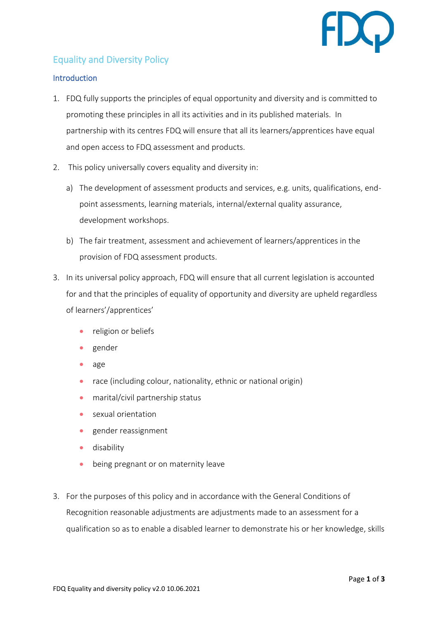

# Equality and Diversity Policy

## **Introduction**

- 1. FDQ fully supports the principles of equal opportunity and diversity and is committed to promoting these principles in all its activities and in its published materials. In partnership with its centres FDQ will ensure that all its learners/apprentices have equal and open access to FDQ assessment and products.
- 2. This policy universally covers equality and diversity in:
	- a) The development of assessment products and services, e.g. units, qualifications, endpoint assessments, learning materials, internal/external quality assurance, development workshops.
	- b) The fair treatment, assessment and achievement of learners/apprentices in the provision of FDQ assessment products.
- 3. In its universal policy approach, FDQ will ensure that all current legislation is accounted for and that the principles of equality of opportunity and diversity are upheld regardless of learners'/apprentices'
	- religion or beliefs
	- gender
	- age
	- race (including colour, nationality, ethnic or national origin)
	- marital/civil partnership status
	- sexual orientation
	- gender reassignment
	- disability
	- being pregnant or on maternity leave
- 3. For the purposes of this policy and in accordance with the General Conditions of Recognition reasonable adjustments are adjustments made to an assessment for a qualification so as to enable a disabled learner to demonstrate his or her knowledge, skills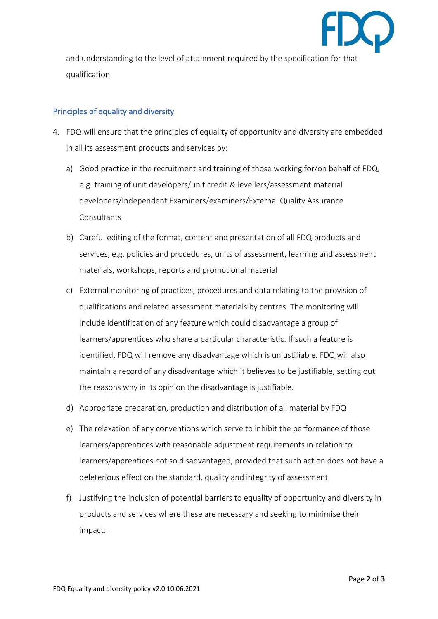

and understanding to the level of attainment required by the specification for that qualification.

## Principles of equality and diversity

- 4. FDQ will ensure that the principles of equality of opportunity and diversity are embedded in all its assessment products and services by:
	- a) Good practice in the recruitment and training of those working for/on behalf of FDQ, e.g. training of unit developers/unit credit & levellers/assessment material developers/Independent Examiners/examiners/External Quality Assurance **Consultants**
	- b) Careful editing of the format, content and presentation of all FDQ products and services, e.g. policies and procedures, units of assessment, learning and assessment materials, workshops, reports and promotional material
	- c) External monitoring of practices, procedures and data relating to the provision of qualifications and related assessment materials by centres. The monitoring will include identification of any feature which could disadvantage a group of learners/apprentices who share a particular characteristic. If such a feature is identified, FDQ will remove any disadvantage which is unjustifiable. FDQ will also maintain a record of any disadvantage which it believes to be justifiable, setting out the reasons why in its opinion the disadvantage is justifiable.
	- d) Appropriate preparation, production and distribution of all material by FDQ
	- e) The relaxation of any conventions which serve to inhibit the performance of those learners/apprentices with reasonable adjustment requirements in relation to learners/apprentices not so disadvantaged, provided that such action does not have a deleterious effect on the standard, quality and integrity of assessment
	- f) Justifying the inclusion of potential barriers to equality of opportunity and diversity in products and services where these are necessary and seeking to minimise their impact.